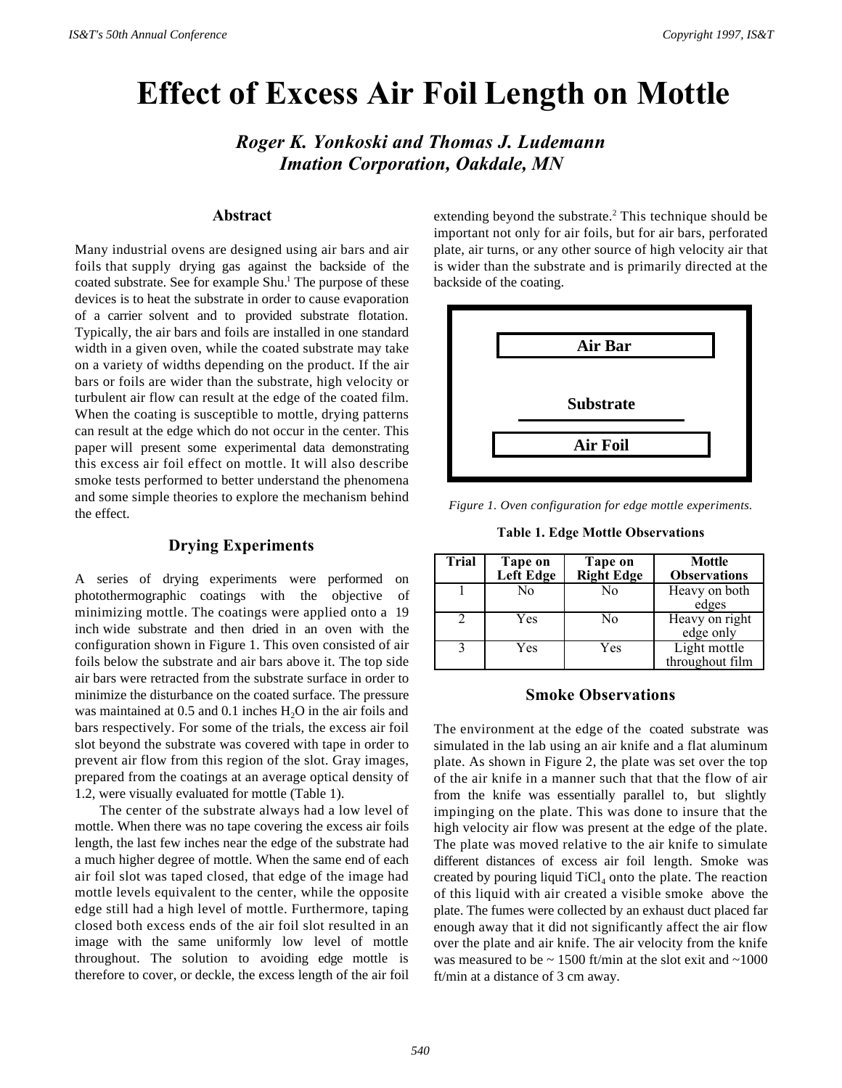# **Effect of Excess Air Foil Length on Mottle**

*Roger K. Yonkoski and Thomas J. Ludemann Imation Corporation, Oakdale, MN*

# **Abstract**

Many industrial ovens are designed using air bars and air foils that supply drying gas against the backside of the coated substrate. See for example Shu.<sup>1</sup> The purpose of these devices is to heat the substrate in order to cause evaporation of a carrier solvent and to provided substrate flotation. Typically, the air bars and foils are installed in one standard width in a given oven, while the coated substrate may take on a variety of widths depending on the product. If the air bars or foils are wider than the substrate, high velocity or turbulent air flow can result at the edge of the coated film. When the coating is susceptible to mottle, drying patterns can result at the edge which do not occur in the center. This paper will present some experimental data demonstrating this excess air foil effect on mottle. It will also describe smoke tests performed to better understand the phenomena and some simple theories to explore the mechanism behind the effect.

# **Drying Experiments**

A series of drying experiments were performed on photothermographic coatings with the objective of minimizing mottle. The coatings were applied onto a 19 inch wide substrate and then dried in an oven with the configuration shown in Figure 1. This oven consisted of air foils below the substrate and air bars above it. The top side air bars were retracted from the substrate surface in order to minimize the disturbance on the coated surface. The pressure was maintained at  $0.5$  and  $0.1$  inches  $H<sub>2</sub>O$  in the air foils and bars respectively. For some of the trials, the excess air foil slot beyond the substrate was covered with tape in order to prevent air flow from this region of the slot. Gray images, prepared from the coatings at an average optical density of 1.2, were visually evaluated for mottle (Table 1).

The center of the substrate always had a low level of mottle. When there was no tape covering the excess air foils length, the last few inches near the edge of the substrate had a much higher degree of mottle. When the same end of each air foil slot was taped closed, that edge of the image had mottle levels equivalent to the center, while the opposite edge still had a high level of mottle. Furthermore, taping closed both excess ends of the air foil slot resulted in an image with the same uniformly low level of mottle throughout. The solution to avoiding edge mottle is therefore to cover, or deckle, the excess length of the air foil

extending beyond the substrate.<sup>2</sup> This technique should be important not only for air foils, but for air bars, perforated plate, air turns, or any other source of high velocity air that is wider than the substrate and is primarily directed at the backside of the coating.



*Figure 1. Oven configuration for edge mottle experiments.*

**Table 1. Edge Mottle Observations**

| <b>Trial</b> | Tape on<br>Left Edge | Tape on<br><b>Right Edge</b> | <b>Mottle</b><br><b>Observations</b> |
|--------------|----------------------|------------------------------|--------------------------------------|
|              | No                   | No                           | Heavy on both<br>edges               |
|              | Yes                  | No                           | Heavy on right<br>edge only          |
|              | Yes                  | Yes                          | Light mottle<br>throughout film      |

## **Smoke Observations**

The environment at the edge of the coated substrate was simulated in the lab using an air knife and a flat aluminum plate. As shown in Figure 2, the plate was set over the top of the air knife in a manner such that that the flow of air from the knife was essentially parallel to, but slightly impinging on the plate. This was done to insure that the high velocity air flow was present at the edge of the plate. The plate was moved relative to the air knife to simulate different distances of excess air foil length. Smoke was created by pouring liquid  $TiCl<sub>4</sub>$  onto the plate. The reaction of this liquid with air created a visible smoke above the plate. The fumes were collected by an exhaust duct placed far enough away that it did not significantly affect the air flow over the plate and air knife. The air velocity from the knife was measured to be  $\sim 1500$  ft/min at the slot exit and  $\sim 1000$ ft/min at a distance of 3 cm away.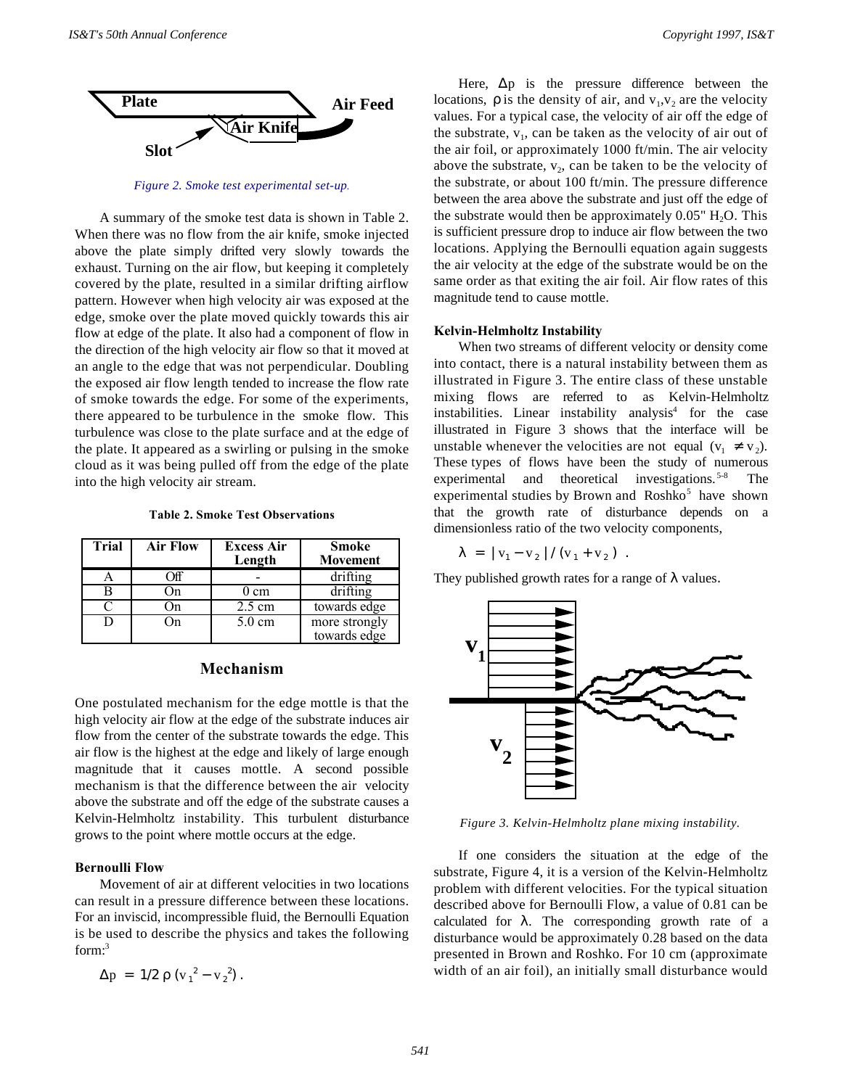

*Figure 2. Smoke test experimental set-up.*

A summary of the smoke test data is shown in Table 2. When there was no flow from the air knife, smoke injected above the plate simply drifted very slowly towards the exhaust. Turning on the air flow, but keeping it completely covered by the plate, resulted in a similar drifting airflow pattern. However when high velocity air was exposed at the edge, smoke over the plate moved quickly towards this air flow at edge of the plate. It also had a component of flow in the direction of the high velocity air flow so that it moved at an angle to the edge that was not perpendicular. Doubling the exposed air flow length tended to increase the flow rate of smoke towards the edge. For some of the experiments, there appeared to be turbulence in the smoke flow. This turbulence was close to the plate surface and at the edge of the plate. It appeared as a swirling or pulsing in the smoke cloud as it was being pulled off from the edge of the plate into the high velocity air stream.

**Table 2. Smoke Test Observations**

| Trial | <b>Air Flow</b> | <b>Excess Air</b><br>Length | <b>Smoke</b><br><b>Movement</b> |
|-------|-----------------|-----------------------------|---------------------------------|
|       | Ħ               |                             | $\overline{\text{drifting}}$    |
|       | )n              | ) cm                        | drifting                        |
|       | )n              | $2.5 \text{ cm}$            | towards edge                    |
|       | )n              | $5.0 \text{ cm}$            | more strongly<br>towards edge   |

# **Mechanism**

One postulated mechanism for the edge mottle is that the high velocity air flow at the edge of the substrate induces air flow from the center of the substrate towards the edge. This air flow is the highest at the edge and likely of large enough magnitude that it causes mottle. A second possible mechanism is that the difference between the air velocity above the substrate and off the edge of the substrate causes a Kelvin-Helmholtz instability. This turbulent disturbance grows to the point where mottle occurs at the edge.

#### **Bernoulli Flow**

Movement of air at different velocities in two locations can result in a pressure difference between these locations. For an inviscid, incompressible fluid, the Bernoulli Equation is be used to describe the physics and takes the following form:<sup>3</sup>

$$
\Delta p = 1/2 \rho (v_1^2 - v_2^2).
$$

Here,  $\Delta p$  is the pressure difference between the locations,  $\rho$  is the density of air, and  $v_1, v_2$  are the velocity values. For a typical case, the velocity of air off the edge of the substrate,  $v_1$ , can be taken as the velocity of air out of the air foil, or approximately 1000 ft/min. The air velocity above the substrate,  $v_2$ , can be taken to be the velocity of the substrate, or about 100 ft/min. The pressure difference between the area above the substrate and just off the edge of the substrate would then be approximately  $0.05$ " H<sub>2</sub>O. This is sufficient pressure drop to induce air flow between the two locations. Applying the Bernoulli equation again suggests the air velocity at the edge of the substrate would be on the same order as that exiting the air foil. Air flow rates of this magnitude tend to cause mottle.

#### **Kelvin-Helmholtz Instability**

When two streams of different velocity or density come into contact, there is a natural instability between them as illustrated in Figure 3. The entire class of these unstable mixing flows are referred to as Kelvin-Helmholtz instabilities. Linear instability analysis<sup>4</sup> for the case illustrated in Figure 3 shows that the interface will be unstable whenever the velocities are not equal  $(v_1 \neq v_2)$ . These types of flows have been the study of numerous experimental and theoretical investigations.<sup>5-8</sup> The experimental studies by Brown and Roshko<sup>5</sup> have shown that the growth rate of disturbance depends on a dimensionless ratio of the two velocity components,

$$
\lambda = |v_1 - v_2| / (v_1 + v_2).
$$

They published growth rates for a range of  $\lambda$  values.



*Figure 3. Kelvin-Helmholtz plane mixing instability.*

If one considers the situation at the edge of the substrate, Figure 4, it is a version of the Kelvin-Helmholtz problem with different velocities. For the typical situation described above for Bernoulli Flow, a value of 0.81 can be calculated for  $\lambda$ . The corresponding growth rate of a disturbance would be approximately 0.28 based on the data presented in Brown and Roshko. For 10 cm (approximate width of an air foil), an initially small disturbance would